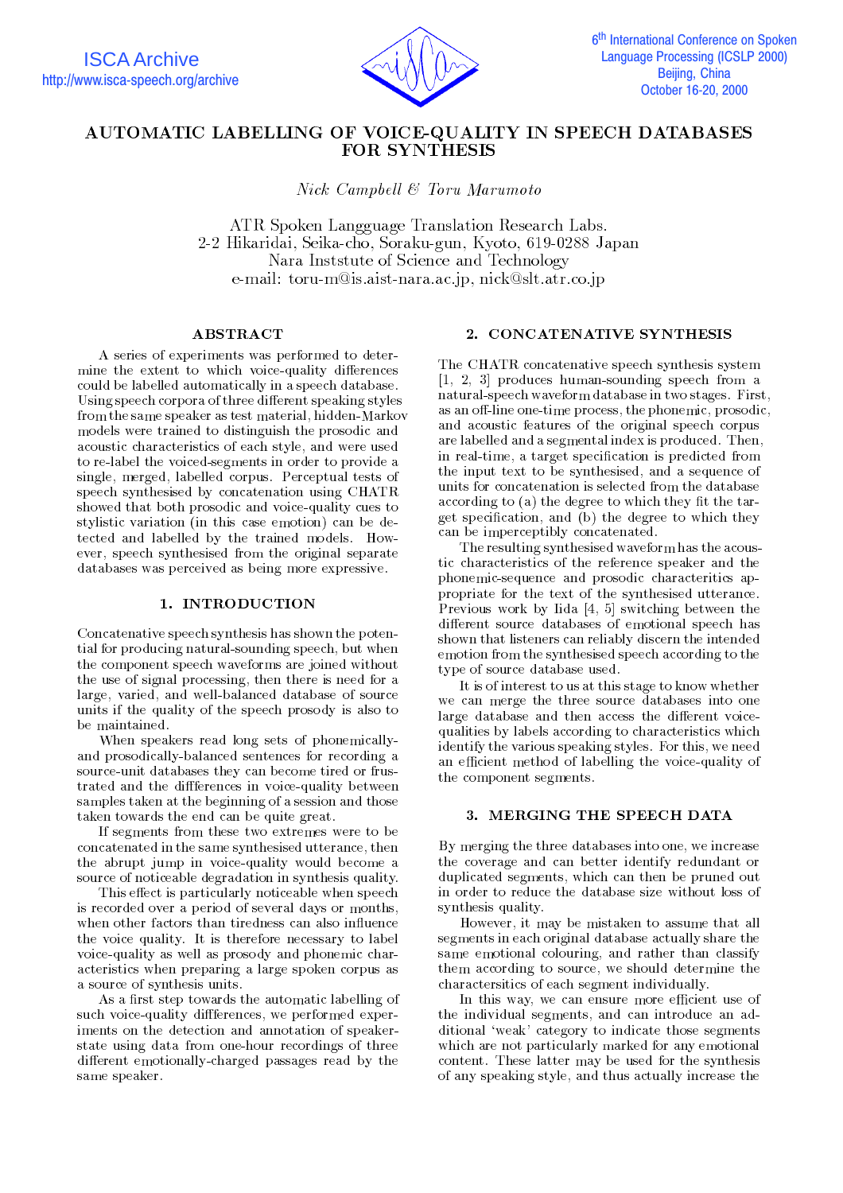

# AUTOMATIC LABELLING OF VOICE-QUALITY IN SPEECH DATABASES **FOR SYNTHESIS**

Nick Campbell & Toru Marumoto

ATR Spoken Langguage Translation Research Labs. 2-2 Hikaridai, Seika-cho, Soraku-gun, Kyoto, 619-0288 Japan Nara Inststute of Science and Technology e-mail: toru-m@is.aist-nara.ac.jp, nick@slt.atr.co.jp

# ABSTRACT

A series of experiments was performed to determine the extent to which voice-quality differences could be labelled automatically in a speech database. Using speech corpora of three different speaking styles from the same speaker as test material, hidden-Markov models were trained to distinguish the prosodic and acoustic characteristics of each style, and were used to re-label the voiced-segments in order to provide a single, merged, labelled corpus. Perceptual tests of speech synthesised by concatenation using CHATR showed that both prosodic and voice-quality cues to stylistic variation (in this case emotion) can be detected and labelled by the trained models. However, speech synthesised from the original separate databases was perceived as being more expressive.

#### 1. INTRODUCTION

Concatenative speech synthesis has shown the potential for producing natural-sounding speech, but when the component speech waveforms are joined without the use of signal processing, then there is need for a large, varied, and well-balanced database of source units if the quality of the speech prosody is also to be maintained.

When speakers read long sets of phonemicallyand prosodically-balanced sentences for recording a source-unit databases they can become tired or frustrated and the diferences in voice-quality between samples taken at the beginning of a session and those taken towards the end can be quite great.

If segments from these two extremes were to be concert in the same system utterance, the same system utterance, the same the abrupt jump in voice-quality would become a source of noticeable degradation in synthesis quality.

This effect is particularly noticeable when speech is recorded over a period of several days or months, when other factors than tiredness can also influence the voice quality. It is therefore necessary to label voice-quality as well as prosody and phonemic characteristics when preparing a large spoken corpus as a source of synthesis units.

As a first step towards the automatic labelling of such voice-quality diffferences, we performed experiments on the detection and annotation of speakerstate using data from one-hour recordings of three different emotionally-charged passages read by the same speaker.

#### 2. CONCATENATIVE SYNTHESIS

The CHATR concatenative speech synthesis system [1, 2, 3] produces human-sounding speech from a natural-speech waveform database in two stages. First, as an off-line one-time process, the phonemic, prosodic, and acoustic features of the original speech corpus are labelled and a segmental index is produced. Then, in real-time, a target specification is predicted from the input text to be synthesised, and a sequence of units for concatenation is selected from the database according to (a) the degree to which they fit the target specication, and (b) the degree to which they can be imperceptibly concatenated.

The resulting synthesised waveform has the acoustic characteristics of the reference speaker and the phonemic-sequence and prosodic characteritics appropriate for the text of the synthesised utterance. Previous work by Iida [4, 5] switching between the different source databases of emotional speech has shown that listeners can reliably discern the intended emotion from the synthesised speech according to the type of source database used.

It is of interest to us at this stage to know whether we can merge the three source databases into one large database and then access the different voicequalities by labels according to characteristics which identify the various speaking styles. For this, we need an efficient method of labelling the voice-quality of the component segments.

# 3. MERGING THE SPEECH DATA

By merging the three databases into one, we increase the coverage and can better identify redundant or duplicated segments, which can then be pruned out in order to reduce the database size without loss of synthesis quality.

However, it may be mistaken to assume that all segments in each original database actually share the same emotional colouring, and rather than classify them according to source, we should determine the charactersitics of each segment individually.

In this way, we can ensure more efficient use of the individual segments, and can introduce an additional 'weak' category to indicate those segments which are not particularly marked for any emotional content. These latter may be used for the synthesis of any speaking style, and thus actually increase the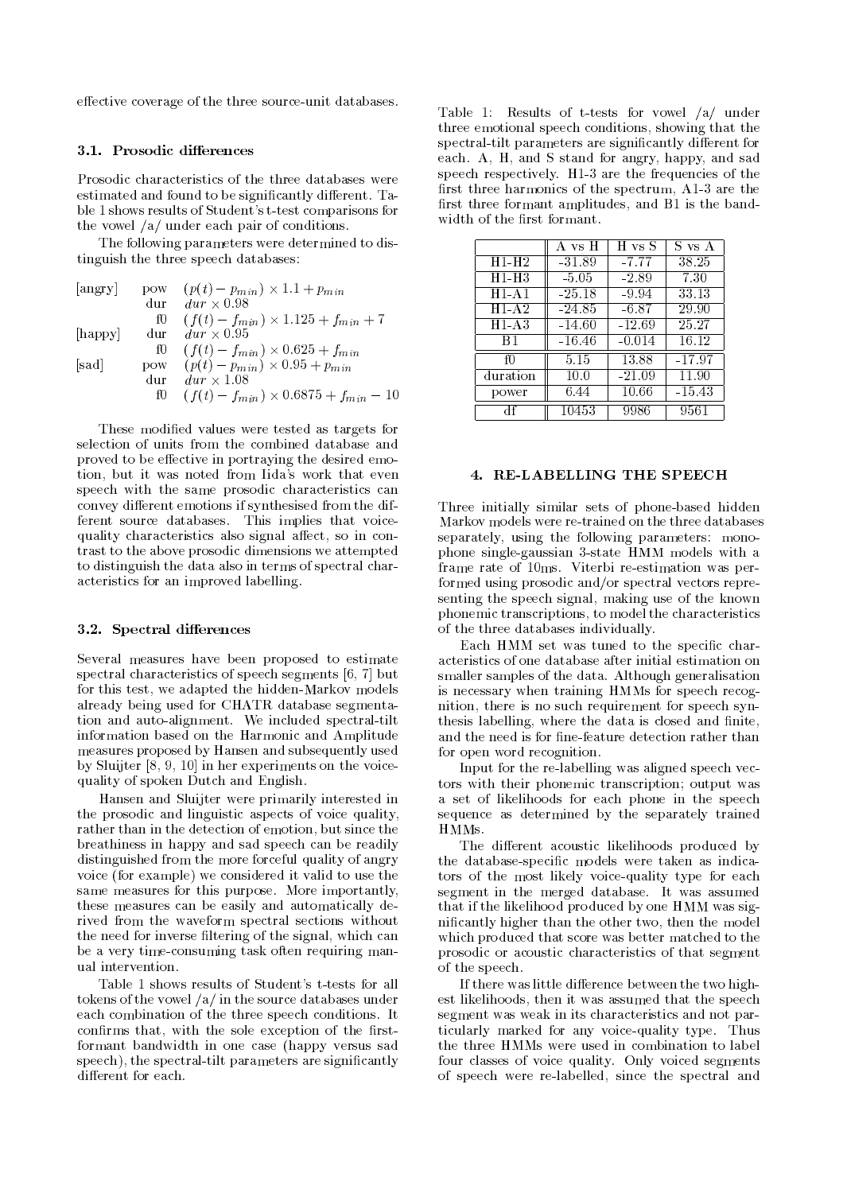effective coverage of the three source-unit databases.

#### 3.1. Prosodic differences

Prosodic characteristics of the three databases were estimated and found to be significantly different. Table 1 shows results of Student's t-test comparisons for the vowel /a/ under each pair of conditions.

The following parameters were determined to distinguish the three speech databases:

|       |      | [angry] pow $(p(t) - p_{min}) \times 1.1 + p_{min}$                                          |
|-------|------|----------------------------------------------------------------------------------------------|
|       | dur. | $dur \times 0.98$                                                                            |
|       |      | f0 $(f(t) - f_{min}) \times 1.125 + f_{min} + 7$                                             |
|       |      | [happy] dur $dur \times 0.95$                                                                |
|       |      |                                                                                              |
| [sad] |      | f0 $(f(t) - f_{min}) \times 0.625 + f_{min}$<br>pow $(p(t) - p_{min}) \times 0.95 + p_{min}$ |
|       | dur  | $dur \times 1.08$                                                                            |
|       |      | f0 $(f(t) - f_{min}) \times 0.6875 + f_{min} - 10$                                           |

These modied values were tested as targets for selection of units from the combined database and proved to be effective in portraying the desired emotion, but it was noted from Iida's work that even speech with the same prosodic characteristics can convey different emotions if synthesised from the different source databases. This implies that voicequality characteristics also signal affect, so in contrast to the above prosodic dimensions we attempted to distinguish the data also in terms of spectral characteristics for an improved labelling.

# 3.2. Spectral differences

Several measures have been proposed to estimate spectral characteristics of speech segments [6, 7] but for this test, we adapted the hidden-Markov models already being used for CHATR database segmentation and auto-alignment. We included spectral-tilt information based on the Harmonic and Amplitude measures proposed by Hansen and subsequently used by Sluijter [8, 9, 10] in her experiments on the voicequality of spoken Dutch and English.

Hansen and Sluijter were primarily interested in the prosodic and linguistic aspects of voice quality, rather than in the detection of emotion, but since the breathiness in happy and sad speech can be readily distinguished from the more forceful quality of angry voice (for example) we considered it valid to use the same measures for this purpose. More importantly, these measures can be easily and automatically derived from the waveform spectral sections without the need for inverse filtering of the signal, which can be a very time-consuming task often requiring manual intervention.

Table 1 shows results of Student's t-tests for all tokens of the vowel /a/ in the source databases under each combination of the three speech conditions. It confirms that, with the sole exception of the firstformant bandwidth in one case (happy versus sad speech), the spectral-tilt parameters are significantly different for each.

Table 1: Results of t-tests for vowel /a/ under three emotional speech conditions, showing that the spectral-tilt parameters are significantly different for each. A, H, and S stand for angry, happy, and sad speech respectively. H1-3 are the frequencies of the first three harmonics of the spectrum,  $A1-3$  are the first three formant amplitudes, and B1 is the bandwidth of the first formant.

|          | A vs H   | H vs S   | S vs A   |
|----------|----------|----------|----------|
| $H1-H2$  | $-31.89$ | $-7.77$  | 38.25    |
| H1-H3    | $-5.05$  | $-2.89$  | 7.30     |
| $H1-A1$  | $-25.18$ | -9.94    | 33.13    |
| $H1-A2$  | $-24.85$ | -6.87    | 29.90    |
| H1-A3    | $-14.60$ | $-12.69$ | 25.27    |
| B1       | $-16.46$ | $-0.014$ | 16.12    |
| fΩ       | 5.15     | 13.88    | $-17.97$ |
| duration | 10.0     | $-21.09$ | 11.90    |
| power    | 6.44     | 10.66    | $-15.43$ |
|          | 10453    | 9986     | 9561     |

#### 4. RE-LABELLING THE SPEECH

Three initially similar sets of phone-based hidden Markov models were re-trained on the three databases separately, using the following parameters: monophone single-gaussian 3-state HMM models with a frame rate of 10ms. Viterbi re-estimation was performed using prosodic and/or spectral vectors representing the speech signal, making use of the known phonemic transcriptions, to model the characteristics of the three databases individually.

Each HMM set was tuned to the specific characteristics of one database after initial estimation on smaller samples of the data. Although generalisation is necessary when training HMMs for speech recognition, there is no such requirement for speech synthesis labelling, where the data is closed and finite, and the need is for fine-feature detection rather than for open word recognition.

Input for the re-labelling was aligned speech vectors with their phonemic transcription; output was a set of likelihoods for each phone in the speech sequence as determined by the separately trained HMMs.

The different acoustic likelihoods produced by the database-specic models were taken as indicators of the most likely voice-quality type for each segment in the merged database. It was assumed that if the likelihood produced by one HMM was signicantly higher than the other two, then the model which produced that score was better matched to the prosodic or acoustic characteristics of that segment of the speech.

If there was little difference between the two highest likelihoods, then it was assumed that the speech segment was weak in its characteristics and not particularly marked for any voice-quality type. Thus the three HMMs were used in combination to label four classes of voice quality. Only voiced segments of speech were re-labelled, since the spectral and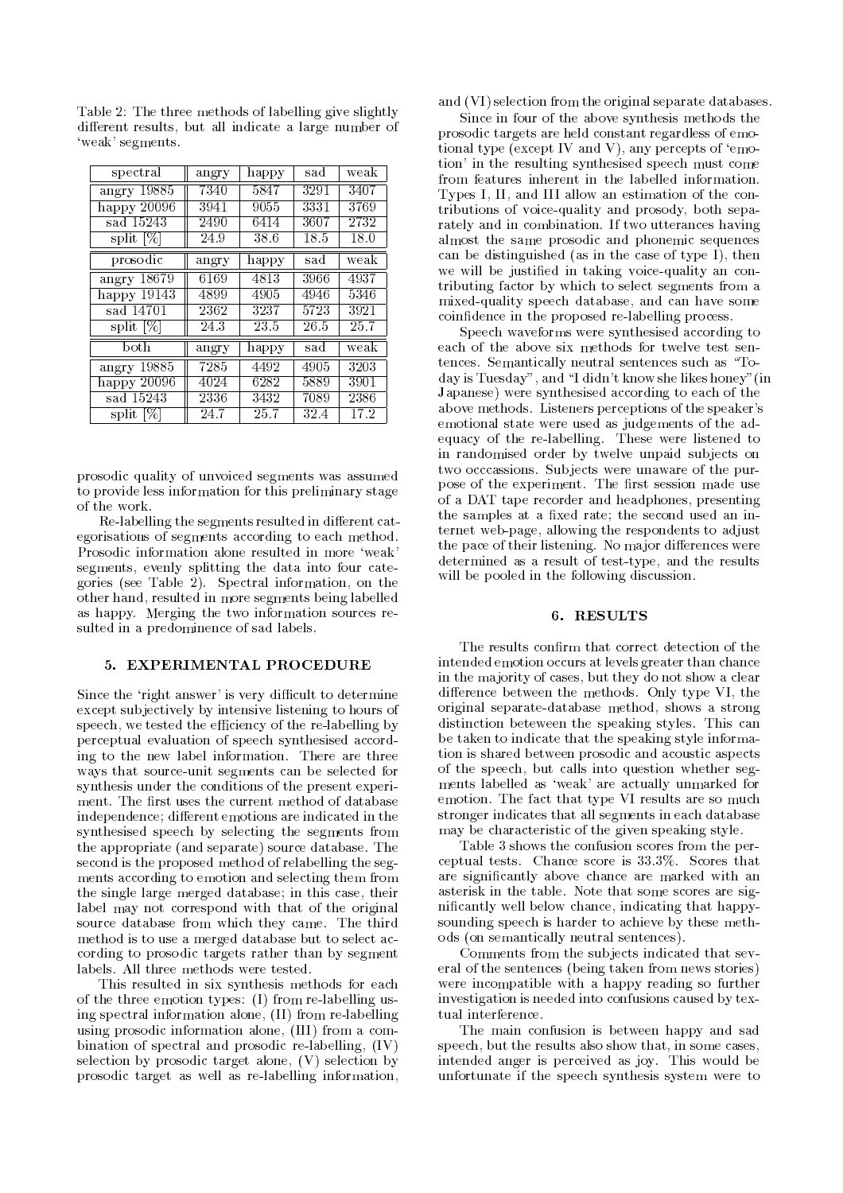| spectral                 | angry | happy | sad  | weak |
|--------------------------|-------|-------|------|------|
| angry $19885$            | 7340  | 5847  | 3291 | 3407 |
| happy $20096$            | 3941  | 9055  | 3331 | 3769 |
| sad 15243                | 2490  | 6414  | 3607 | 2732 |
| split [%]                | 24.9  | 38.6  | 18.5 | 18.0 |
| prosodic                 | angry | happy | sad  | weak |
| angry $18679$            | 6169  | 4813  | 3966 | 4937 |
| happy $1\overline{9143}$ | 4899  | 4905  | 4946 | 5346 |
| sad 14701                | 2362  | 3237  | 5723 | 3921 |
| split $[\%]$             | 24.3  | 23.5  | 26.5 | 25.7 |
| both                     | angry | happy | sad  | weak |
| 19885<br>angry           | 7285  | 4492  | 4905 | 3203 |
| happy $20096$            | 4024  | 6282  | 5889 | 3901 |
| sad 15243                | 2336  | 3432  | 7089 | 2386 |
| split [%]                | 24.7  | 25.7  | 32.4 | 17.2 |

Table 2: The three methods of labelling give slightly different results, but all indicate a large number of `weak' segments.

prosodic quality of unvoiced segments was assumed to provide less information for this preliminary stage

Re-labelling the segments resulted in different categorisations of segments according to each method. Prosodic information alone resulted in more 'weak' segments, evenly splitting the data into four categories (see Table 2). Spectral information, on the other hand, resulted in more segments being labelled as happy. Merging the two information sources resulted in a predominence of sad labels.

# 5. EXPERIMENTAL PROCEDURE

Since the 'right answer' is very difficult to determine except subjectively by intensive listening to hours of speech, we tested the efficiency of the re-labelling by perceptual evaluation of speech synthesised according to the new label information. There are three ways that source-unit segments can be selected for synthesis under the conditions of the present experi ment. The first uses the current method of database independence; different emotions are indicated in the synthesised speech by selecting the segments from the appropriate (and separate) source database. The second is the proposed method of relabelling the seg ments according to emotion and selecting them from the single large merged database; in this case, their label may not correspond with that of the original source database from which they came. The third method is to use a merged database but to select according to prosodic targets rather than by segment labels. All three methods were tested.

This resulted in six synthesis methods for each of the three emotion types: (I) from re-labelling using spectral information alone, (II) from re-labelling using prosodic information alone, (III) from a combination of spectral and prosodic re-labelling, (IV) selection by prosodic target alone, (V) selection by prosodic target as well as re-labelling information,

and (VI) selection from the original separate databases.

Since in four of the above synthesis methods the prosodic targets are held constant regardless of emotional type (except IV and V), any percepts of  $\epsilon$ motion' in the resulting synthesised speech must come from features inherent in the labelled information. Types I, II, and III allow an estimation of the contributions of voice-quality and prosody, both separately and in combination. If two utterances having almost the same prosodic and phonemic sequences can be distinguished (as in the case of type  $\overline{I}$ ), then we will be justied in taking voice-quality an contributing factor by which to select segments from a mixed-quality speech database, and can have some coindence in the proposed re-labelling process.

Speech waveforms were synthesised according to each of the above six methods for twelve test sentences. Semantically neutral sentences such as "Today is Tuesday", and \I didn't know she likes honey"(in Japanese) were synthesised according to each of the above methods. Listeners perceptions of the speaker's emotional state were used as judgements of the adequacy of the re-labelling. These were listened to in randomised order by twelve unpaid subjects on two occcassions. Subjects were unaware of the purpose of the experiment. The first session made use of a DAT tape recorder and headphones, presenting the samples at a fixed rate; the second used an internet web-page, allowing the respondents to adjust the pace of their listening. No major differences were determined as a result of test-type, and the results will be pooled in the following discussion.

## 6. RESULTS

The results confirm that correct detection of the intended emotion occurs at levels greater than chance in the majority of cases, but they do not show a clear difference between the methods. Only type VI, the original separate-database method, shows a strong distinction beteween the speaking styles. This can be taken to indicate that the speaking style information is shared between prosodic and acoustic aspects of the speech, but calls into question whether segments labelled as 'weak' are actually unmarked for emotion. The fact that type VI results are so much stronger indicates that all segments in each database may be characteristic of the given speaking style.

Table 3 shows the confusion scores from the perceptual tests. Chance score is 33.3%. Scores that are signicantly above chance are marked with an asterisk in the table. Note that some scores are signicantly well below chance, indicating that happysounding speech is harder to achieve by these methods (on semantically neutral sentences).

Comments from the sub jects indicated that several of the sentences (being taken from news stories) were incompatible with a happy reading so further investigation is needed into confusions caused by textual interference.

The main confusion is between happy and sad speech, but the results also show that, in some cases, intended anger is perceived as joy. This would be unfortunate if the speech synthesis system were to